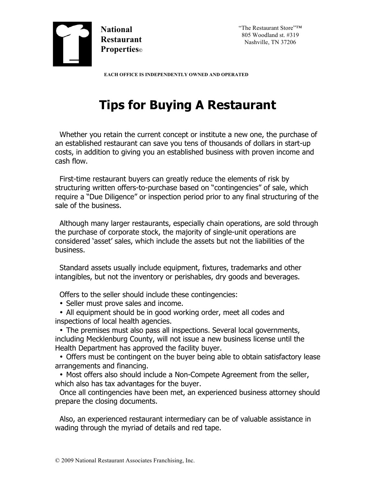

"The Restaurant Store"™ 805 Woodland st. #319 Nashville, TN 37206

 **EACH OFFICE IS INDEPENDENTLY OWNED AND OPERATED**

## **Tips for Buying A Restaurant**

Whether you retain the current concept or institute a new one, the purchase of an established restaurant can save you tens of thousands of dollars in start-up costs, in addition to giving you an established business with proven income and cash flow.

First-time restaurant buyers can greatly reduce the elements of risk by structuring written offers-to-purchase based on "contingencies" of sale, which require a "Due Diligence" or inspection period prior to any final structuring of the sale of the business.

Although many larger restaurants, especially chain operations, are sold through the purchase of corporate stock, the majority of single-unit operations are considered 'asset' sales, which include the assets but not the liabilities of the business.

Standard assets usually include equipment, fixtures, trademarks and other intangibles, but not the inventory or perishables, dry goods and beverages.

Offers to the seller should include these contingencies:

• Seller must prove sales and income.

• All equipment should be in good working order, meet all codes and inspections of local health agencies.

• The premises must also pass all inspections. Several local governments, including Mecklenburg County, will not issue a new business license until the Health Department has approved the facility buyer.

• Offers must be contingent on the buyer being able to obtain satisfactory lease arrangements and financing.

• Most offers also should include a Non-Compete Agreement from the seller, which also has tax advantages for the buyer.

Once all contingencies have been met, an experienced business attorney should prepare the closing documents.

Also, an experienced restaurant intermediary can be of valuable assistance in wading through the myriad of details and red tape.